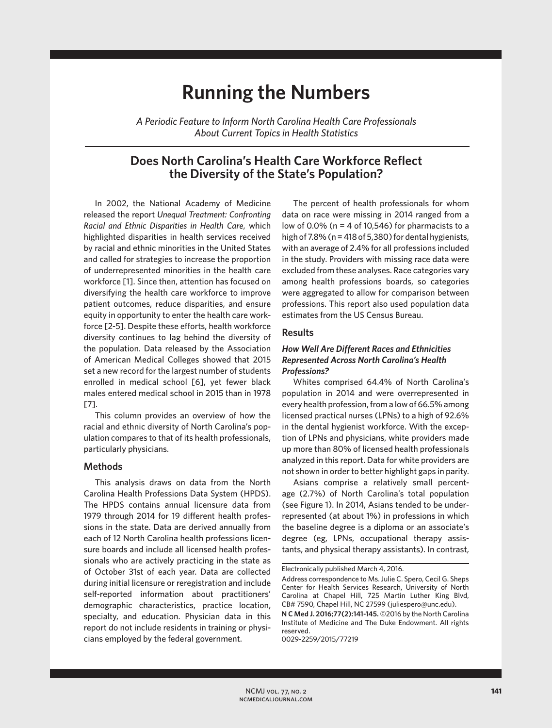# **Running the Numbers**

*A Periodic Feature to Inform North Carolina Health Care Professionals About Current Topics in Health Statistics*

# **Does North Carolina's Health Care Workforce Reflect the Diversity of the State's Population?**

In 2002, the National Academy of Medicine released the report *Unequal Treatment: Confronting Racial and Ethnic Disparities in Health Care*, which highlighted disparities in health services received by racial and ethnic minorities in the United States and called for strategies to increase the proportion of underrepresented minorities in the health care workforce [1]. Since then, attention has focused on diversifying the health care workforce to improve patient outcomes, reduce disparities, and ensure equity in opportunity to enter the health care workforce [2-5]. Despite these efforts, health workforce diversity continues to lag behind the diversity of the population. Data released by the Association of American Medical Colleges showed that 2015 set a new record for the largest number of students enrolled in medical school [6], yet fewer black males entered medical school in 2015 than in 1978 [7].

This column provides an overview of how the racial and ethnic diversity of North Carolina's population compares to that of its health professionals, particularly physicians.

### **Methods**

This analysis draws on data from the North Carolina Health Professions Data System (HPDS). The HPDS contains annual licensure data from 1979 through 2014 for 19 different health professions in the state. Data are derived annually from each of 12 North Carolina health professions licensure boards and include all licensed health professionals who are actively practicing in the state as of October 31st of each year. Data are collected during initial licensure or reregistration and include self-reported information about practitioners' demographic characteristics, practice location, specialty, and education. Physician data in this report do not include residents in training or physicians employed by the federal government.

The percent of health professionals for whom data on race were missing in 2014 ranged from a low of 0.0% ( $n = 4$  of 10,546) for pharmacists to a high of 7.8% (n = 418 of 5,380) for dental hygienists, with an average of 2.4% for all professions included in the study. Providers with missing race data were excluded from these analyses. Race categories vary among health professions boards, so categories were aggregated to allow for comparison between professions. This report also used population data estimates from the US Census Bureau.

# **Results**

# *How Well Are Different Races and Ethnicities Represented Across North Carolina's Health Professions?*

Whites comprised 64.4% of North Carolina's population in 2014 and were overrepresented in every health profession, from a low of 66.5% among licensed practical nurses (LPNs) to a high of 92.6% in the dental hygienist workforce. With the exception of LPNs and physicians, white providers made up more than 80% of licensed health professionals analyzed in this report. Data for white providers are not shown in order to better highlight gaps in parity.

Asians comprise a relatively small percentage (2.7%) of North Carolina's total population (see Figure 1). In 2014, Asians tended to be underrepresented (at about 1%) in professions in which the baseline degree is a diploma or an associate's degree (eg, LPNs, occupational therapy assistants, and physical therapy assistants). In contrast,

0029-2259/2015/77219

Electronically published March 4, 2016.

Address correspondence to Ms. Julie C. Spero, Cecil G. Sheps Center for Health Services Research, University of North Carolina at Chapel Hill, 725 Martin Luther King Blvd, CB# 7590, Chapel Hill, NC 27599 (juliespero@unc.edu).

**N C Med J. 2016;77(2):141-145.** ©2016 by the North Carolina Institute of Medicine and The Duke Endowment. All rights reserved.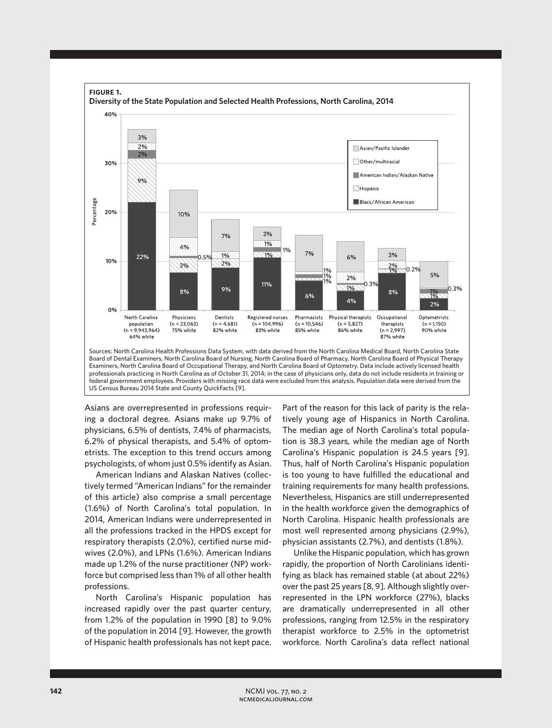

Asians are overrepresented in professions requiring a doctoral degree. Asians make up 9.7% of physicians, 6.5% of dentists, 7.4% of pharmacists, 6.2% of physical therapists, and 5.4% of optometrists. The exception to this trend occurs among psychologists, of whom just 0.5% identify as Asian.

American Indians and Alaskan Natives (collectively termed "American Indians" for the remainder of this article) also comprise a small percentage (1.6%) of North Carolina's total population. In 2014, American Indians were underrepresented in all the professions tracked in the HPDS except for respiratory therapists (2.0%), certified nurse midwives (2.0%), and LPNs (1.6%). American Indians made up 1.2% of the nurse practitioner (NP) workforce but comprised less than 1% of all other health professions.

North Carolina's Hispanic population has increased rapidly over the past quarter century, from 1.2% of the population in 1990 [8] to 9.0% of the population in 2014 [9]. However, the growth of Hispanic health professionals has not kept pace.

Part of the reason for this lack of parity is the relatively young age of Hispanics in North Carolina. The median age of North Carolina's total population is 38.3 years, while the median age of North Carolina's Hispanic population is 24.5 years [9]. Thus, half of North Carolina's Hispanic population is too young to have fulfilled the educational and training requirements for many health professions. Nevertheless, Hispanics are still underrepresented in the health workforce given the demographics of North Carolina. Hispanic health professionals are most well represented among physicians (2.9%), physician assistants (2.7%), and dentists (1.8%).

Unlike the Hispanic population, which has grown rapidly, the proportion of North Carolinians identifying as black has remained stable (at about 22%) over the past 25 years [8, 9]. Although slightly overrepresented in the LPN workforce (27%), blacks are dramatically underrepresented in all other professions, ranging from 12.5% in the respiratory therapist workforce to 2.5% in the optometrist workforce. North Carolina's data reflect national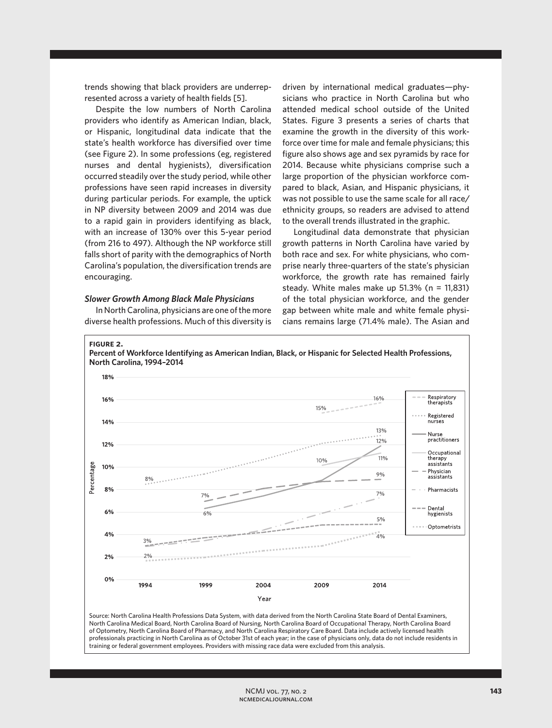trends showing that black providers are underrepresented across a variety of health fields [5].

Despite the low numbers of North Carolina providers who identify as American Indian, black, or Hispanic, longitudinal data indicate that the state's health workforce has diversified over time (see Figure 2). In some professions (eg, registered nurses and dental hygienists), diversification occurred steadily over the study period, while other professions have seen rapid increases in diversity during particular periods. For example, the uptick in NP diversity between 2009 and 2014 was due to a rapid gain in providers identifying as black, with an increase of 130% over this 5-year period (from 216 to 497). Although the NP workforce still falls short of parity with the demographics of North Carolina's population, the diversification trends are encouraging.

## *Slower Growth Among Black Male Physicians*

In North Carolina, physicians are one of the more diverse health professions. Much of this diversity is

driven by international medical graduates—physicians who practice in North Carolina but who attended medical school outside of the United States. Figure 3 presents a series of charts that examine the growth in the diversity of this workforce over time for male and female physicians; this figure also shows age and sex pyramids by race for 2014. Because white physicians comprise such a large proportion of the physician workforce compared to black, Asian, and Hispanic physicians, it was not possible to use the same scale for all race/ ethnicity groups, so readers are advised to attend to the overall trends illustrated in the graphic.

Longitudinal data demonstrate that physician growth patterns in North Carolina have varied by both race and sex. For white physicians, who comprise nearly three-quarters of the state's physician workforce, the growth rate has remained fairly steady. White males make up 51.3% (n = 11,831) of the total physician workforce, and the gender gap between white male and white female physicians remains large (71.4% male). The Asian and



of Optometry, North Carolina Board of Pharmacy, and North Carolina Respiratory Care Board. Data include actively licensed health professionals practicing in North Carolina as of October 31st of each year; in the case of physicians only, data do not include residents in training or federal government employees. Providers with missing race data were excluded from this analysis.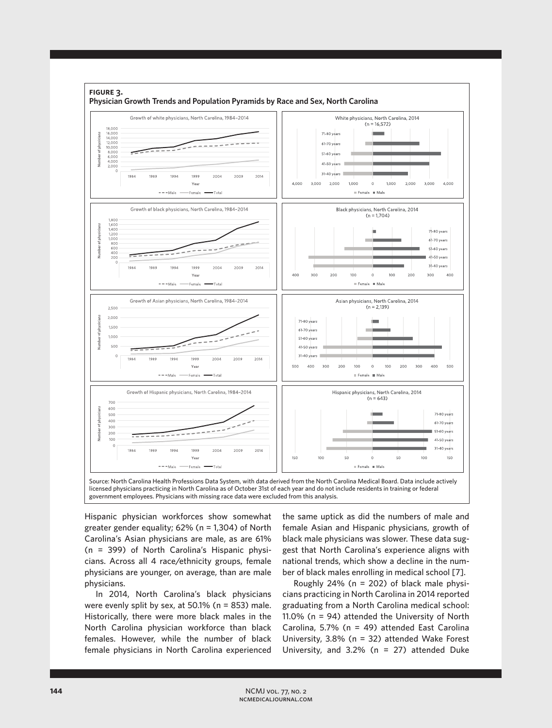

Hispanic physician workforces show somewhat greater gender equality; 62% (n = 1,304) of North Carolina's Asian physicians are male, as are 61% (n = 399) of North Carolina's Hispanic physicians. Across all 4 race/ethnicity groups, female physicians are younger, on average, than are male physicians.

In 2014, North Carolina's black physicians were evenly split by sex, at 50.1% (n = 853) male. Historically, there were more black males in the North Carolina physician workforce than black females. However, while the number of black female physicians in North Carolina experienced

the same uptick as did the numbers of male and female Asian and Hispanic physicians, growth of black male physicians was slower. These data suggest that North Carolina's experience aligns with national trends, which show a decline in the number of black males enrolling in medical school [7].

Roughly 24% ( $n = 202$ ) of black male physicians practicing in North Carolina in 2014 reported graduating from a North Carolina medical school: 11.0% (n = 94) attended the University of North Carolina, 5.7% (n = 49) attended East Carolina University, 3.8% (n = 32) attended Wake Forest University, and 3.2% (n = 27) attended Duke